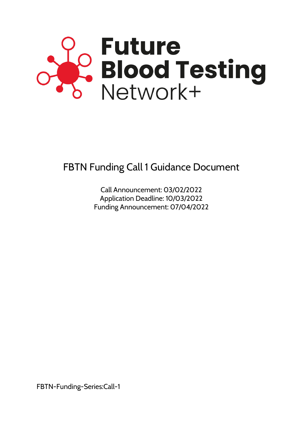

FBTN Funding Call 1 Guidance Document

Call Announcement: 03/02/2022 Application Deadline: 10/03/2022 Funding Announcement: 07/04/2022

FBTN-Funding-Series:Call-1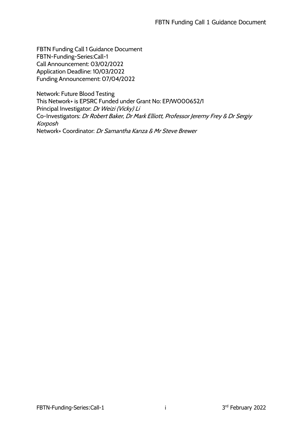FBTN Funding Call 1 Guidance Document FBTN-Funding-Series:Call-1 Call Announcement: 03/02/2022 Application Deadline: 10/03/2022 Funding Announcement: 07/04/2022

Network: Future Blood Testing This Network+ is EPSRC Funded under Grant No: EP/W000652/1 Principal Investigator: Dr Weizi (Vicky) Li Co-Investigators: Dr Robert Baker, Dr Mark Elliott, Professor Jeremy Frey & Dr Sergiy Korposh Network+ Coordinator: Dr Samantha Kanza & Mr Steve Brewer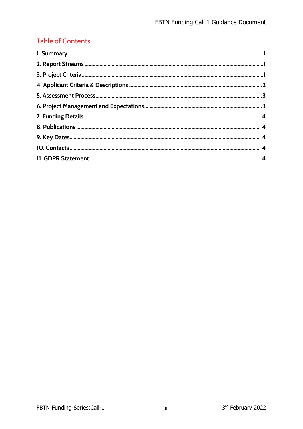### **Table of Contents**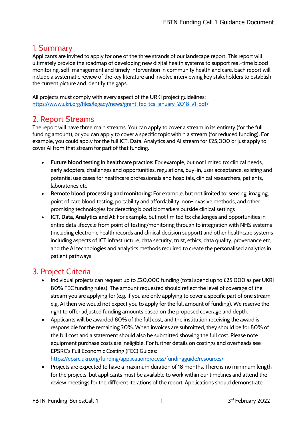### 1. Summary

Applicants are invited to apply for one of the three strands of our landscape report. This report will ultimately provide the roadmap of developing new digital health systems to support real-time blood monitoring, self-management and timely intervention in community health and care. Each report will include a systematic review of the key literature and involve interviewing key stakeholders to establish the current picture and identify the gaps.

All projects must comply with every aspect of the URKI project guidelines: https://www.ukri.org/files/legacy/news/grant-fec-tcs-january-2018-v1-pdf/

### 2. Report Streams

The report will have three main streams. You can apply to cover a stream in its entirety (for the full funding amount), or you can apply to cover a specific topic within a stream (for reduced funding). For example, you could apply for the full ICT, Data, Analytics and AI stream for £25,000 or just apply to cover AI from that stream for part of that funding.

- **Future blood testing in healthcare practice:** For example, but not limited to: clinical needs, early adopters, challenges and opportunities, regulations, buy-in, user acceptance, existing and potential use cases for healthcare professionals and hospitals, clinical researchers, patients, laboratories etc
- **Remote blood processing and monitoring:** For example, but not limited to: sensing, imaging, point of care blood testing, portability and affordability, non-invasive methods, and other promising technologies for detecting blood biomarkers outside clinical settings
- **ICT, Data, Analytics and AI:** For example, but not limited to: challenges and opportunities in entire data lifecycle from point of testing/monitoring through to integration with NHS systems (including electronic health records and clinical decision support) and other healthcare systems including aspects of ICT infrastructure, data security, trust, ethics, data quality, provenance etc, and the AI technologies and analytics methods required to create the personalised analytics in patient pathways

### 3. Project Criteria

- Individual projects can request up to £20,000 funding (total spend up to £25,000 as per UKRI 80% FEC funding rules). The amount requested should reflect the level of coverage of the stream you are applying for (e.g. if you are only applying to cover a specific part of one stream e.g. AI then we would not expect you to apply for the full amount of funding). We reserve the right to offer adjusted funding amounts based on the proposed coverage and depth.
- Applicants will be awarded 80% of the full cost, and the institution receiving the award is responsible for the remaining 20%. When invoices are submitted, they should be for 80% of the full cost and a statement should also be submitted showing the full cost. Please note equipment purchase costs are ineligible. For further details on costings and overheads see EPSRC's Full Economic Costing (FEC) Guides: https://epsrc.ukri.org/funding/applicationprocess/fundingguide/resources/
- Projects are expected to have a maximum duration of 18 months. There is no minimum length for the projects, but applicants must be available to work within our timelines and attend the review meetings for the different iterations of the report. Applications should demonstrate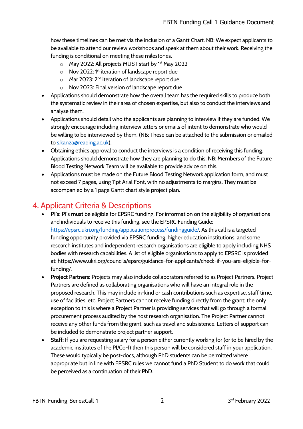how these timelines can be met via the inclusion of a Gantt Chart. NB: We expect applicants to be available to attend our review workshops and speak at them about their work. Receiving the funding is conditional on meeting these milestones.

- o May 2022: All projects MUST start by 1<sup>st</sup> May 2022
- $\circ$  Nov 2022: 1<sup>st</sup> iteration of landscape report due
- o Mar 2023: 2nd iteration of landscape report due
- o Nov 2023: Final version of landscape report due
- Applications should demonstrate how the overall team has the required skills to produce both the systematic review in their area of chosen expertise, but also to conduct the interviews and analyse them.
- Applications should detail who the applicants are planning to interview if they are funded. We strongly encourage including interview letters or emails of intent to demonstrate who would be willing to be interviewed by them. (NB: These can be attached to the submission or emailed to s.kanza@reading.ac.uk).
- Obtaining ethics approval to conduct the interviews is a condition of receiving this funding. Applications should demonstrate how they are planning to do this. NB: Members of the Future Blood Testing Network Team will be available to provide advice on this.
- Applications must be made on the Future Blood Testing Network application form, and must not exceed 7 pages, using 11pt Arial Font, with no adjustments to margins. They must be accompanied by a 1 page Gantt chart style project plan.

### 4. Applicant Criteria & Descriptions

- **PI's:** PI's **must** be eligible for EPSRC funding. For information on the eligibility of organisations and individuals to receive this funding, see the EPSRC Funding Guide: https://epsrc.ukri.org/funding/applicationprocess/fundingguide/. As this call is a targeted funding opportunity provided via EPSRC funding, higher education institutions, and some research institutes and independent research organisations are eligible to apply including NHS bodies with research capabilities. A list of eligible organisations to apply to EPSRC is provided at: https://www.ukri.org/councils/epsrc/guidance-for-applicants/check-if-you-are-eligible-forfunding/.
- **Project Partners:** Projects may also include collaborators referred to as Project Partners. Project Partners are defined as collaborating organisations who will have an integral role in the proposed research. This may include in-kind or cash contributions such as expertise, staff time, use of facilities, etc. Project Partners cannot receive funding directly from the grant; the only exception to this is where a Project Partner is providing services that will go through a formal procurement process audited by the host research organisation. The Project Partner cannot receive any other funds from the grant, such as travel and subsistence. Letters of support can be included to demonstrate project partner support.
- **Staff:** If you are requesting salary for a person either currently working for (or to be hired by the academic institutes of the PI/Co-I) then this person will be considered staff in your application. These would typically be post-docs, although PhD students can be permitted where appropriate but in line with EPSRC rules we cannot fund a PhD Student to do work that could be perceived as a continuation of their PhD.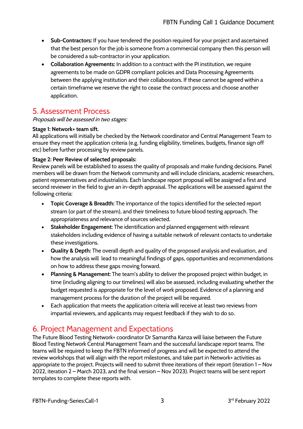- **Sub-Contractors:** If you have tendered the position required for your project and ascertained that the best person for the job is someone from a commercial company then this person will be considered a sub-contractor in your application.
- **Collaboration Agreements:** In addition to a contract with the PI institution, we require agreements to be made on GDPR compliant policies and Data Processing Agreements between the applying institution and their collaborators. If these cannot be agreed within a certain timeframe we reserve the right to cease the contract process and choose another application.

## 5. Assessment Process

Proposals will be assessed in two stages:

#### **Stage 1: Network+ team sift.**

All applications will initially be checked by the Network coordinator and Central Management Team to ensure they meet the application criteria (e.g. funding eligibility, timelines, budgets, finance sign off etc) before further processing by review panels.

#### **Stage 2: Peer Review of selected proposals:**

Review panels will be established to assess the quality of proposals and make funding decisions. Panel members will be drawn from the Network community and will include clinicians, academic researchers, patient representatives and industrialists. Each landscape report proposal will be assigned a first and second reviewer in the field to give an in-depth appraisal. The applications will be assessed against the following criteria:

- **Topic Coverage & Breadth:** The importance of the topics identified for the selected report stream (or part of the stream), and their timeliness to future blood testing approach. The appropriateness and relevance of sources selected.
- **Stakeholder Engagement:** The identification and planned engagement with relevant stakeholders including evidence of having a suitable network of relevant contacts to undertake these investigations.
- **Quality & Depth:** The overall depth and quality of the proposed analysis and evaluation, and how the analysis will lead to meaningful findings of gaps, opportunities and recommendations on how to address these gaps moving forward.
- **Planning & Management:** The team's ability to deliver the proposed project within budget, in time (including aligning to our timelines) will also be assessed, including evaluating whether the budget requested is appropriate for the level of work proposed. Evidence of a planning and management process for the duration of the project will be required.
- Each application that meets the application criteria will receive at least two reviews from impartial reviewers, and applicants may request feedback if they wish to do so.

# 6. Project Management and Expectations

The Future Blood Testing Network+ coordinator Dr Samantha Kanza will liaise between the Future Blood Testing Network Central Management Team and the successful landscape report teams. The teams will be required to keep the FBTN informed of progress and will be expected to attend the review workshops that will align with the report milestones, and take part in Network+ activities as appropriate to the project. Projects will need to submit three iterations of their report (iteration 1 – Nov 2022, iteration 2 – March 2023, and the final version – Nov 2023). Project teams will be sent report templates to complete these reports with.